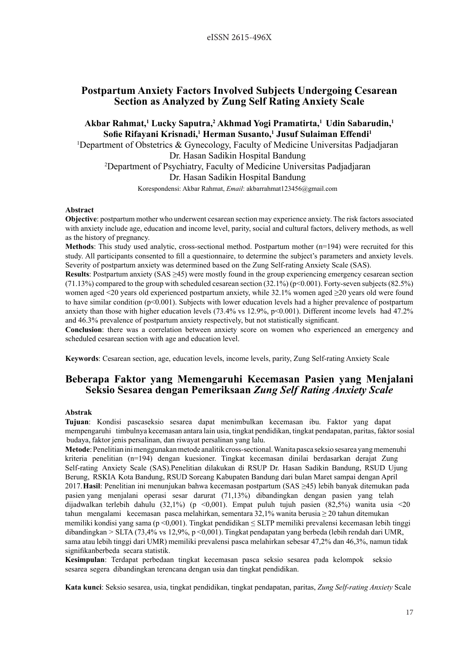## **Postpartum Anxiety Factors Involved Subjects Undergoing Cesarean Section as Analyzed by Zung Self Rating Anxiety Scale**

**Akbar Rahmat,1 Lucky Saputra,2 Akhmad Yogi Pramatirta,1 Udin Sabarudin,1 Sofie Rifayani Krisnadi,<sup>1</sup> Herman Susanto,1 Jusuf Sulaiman Effendi1**

<sup>1</sup>Department of Obstetrics & Gynecology, Faculty of Medicine Universitas Padjadjaran Dr. Hasan Sadikin Hospital Bandung 2 Department of Psychiatry, Faculty of Medicine Universitas Padjadjaran

Dr. Hasan Sadikin Hospital Bandung

Korespondensi: Akbar Rahmat, *Email*: akbarrahmat123456@gmail.com

### **Abstract**

**Objective**: postpartum mother who underwent cesarean section may experience anxiety. The risk factors associated with anxiety include age, education and income level, parity, social and cultural factors, delivery methods, as well as the history of pregnancy.

**Methods**: This study used analytic, cross-sectional method. Postpartum mother (n=194) were recruited for this study. All participants consented to fill a questionnaire, to determine the subject's parameters and anxiety levels. Severity of postpartum anxiety was determined based on the Zung Self-rating Anxiety Scale (SAS).

**Results**: Postpartum anxiety (SAS >45) were mostly found in the group experiencing emergency cesarean section  $(71.13\%)$  compared to the group with scheduled cesarean section  $(32.1\%)$  (p<0.001). Forty-seven subjects  $(82.5\%)$ women aged <20 years old experienced postpartum anxiety, while 32.1% women aged ≥20 years old were found to have similar condition (p<0.001). Subjects with lower education levels had a higher prevalence of postpartum anxiety than those with higher education levels (73.4% vs 12.9%, p<0.001). Different income levels had 47.2% and 46.3% prevalence of postpartum anxiety respectively, but not statistically significant.

**Conclusion**: there was a correlation between anxiety score on women who experienced an emergency and scheduled cesarean section with age and education level.

**Keywords**: Cesarean section, age, education levels, income levels, parity, Zung Self-rating Anxiety Scale

# **Beberapa Faktor yang Memengaruhi Kecemasan Pasien yang Menjalani Seksio Sesarea dengan Pemeriksaan** *Zung Self Rating Anxiety Scale*

### **Abstrak**

**Tujuan**: Kondisi pascaseksio sesarea dapat menimbulkan kecemasan ibu. Faktor yang dapat mempengaruhi timbulnya kecemasan antara lain usia, tingkat pendidikan, tingkat pendapatan, paritas, faktor sosial budaya, faktor jenis persalinan, dan riwayat persalinan yang lalu.

**Metode**: Penelitian ini menggunakan metode analitik cross-sectional. Wanita pasca seksio sesarea yang memenuhi kriteria penelitian (n=194) dengan kuesioner. Tingkat kecemasan dinilai berdasarkan derajat Zung Self-rating Anxiety Scale (SAS).Penelitian dilakukan di RSUP Dr. Hasan Sadikin Bandung, RSUD Ujung Berung, RSKIA Kota Bandung, RSUD Soreang Kabupaten Bandung dari bulan Maret sampai dengan April 2017.**Hasil**: Penelitian ini menunjukan bahwa kecemasan postpartum (SAS ≥45) lebih banyak ditemukan pada pasien yang menjalani operasi sesar darurat (71,13%) dibandingkan dengan pasien yang telah dijadwalkan terlebih dahulu (32,1%) (p <0,001). Empat puluh tujuh pasien (82,5%) wanita usia <20 tahun mengalami kecemasan pasca melahirkan, sementara 32,1% wanita berusia ≥ 20 tahun ditemukan memiliki kondisi yang sama (p <0,001). Tingkat pendidikan  $\leq$  SLTP memiliki prevalensi kecemasan lebih tinggi dibandingkan > SLTA (73,4% vs 12,9%, p <0,001). Tingkat pendapatan yang berbeda (lebih rendah dari UMR, sama atau lebih tinggi dari UMR) memiliki prevalensi pasca melahirkan sebesar 47,2% dan 46,3%, namun tidak signifikanberbeda secara statistik.

**Kesimpulan**: Terdapat perbedaan tingkat kecemasan pasca seksio sesarea pada kelompok seksio sesarea segera dibandingkan terencana dengan usia dan tingkat pendidikan.

**Kata kunci**: Seksio sesarea, usia, tingkat pendidikan, tingkat pendapatan, paritas, *Zung Self-rating Anxiety* Scale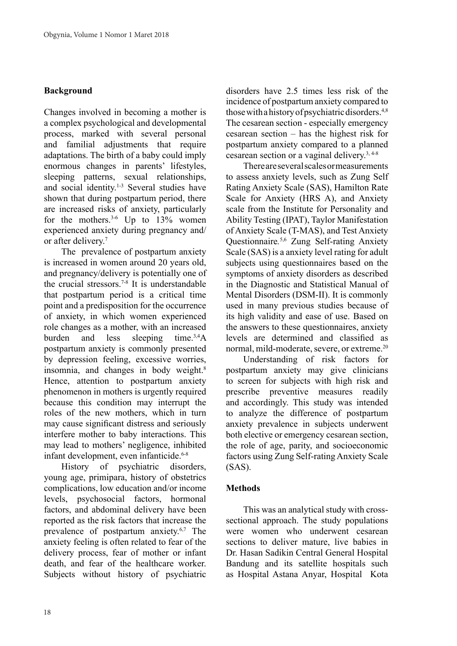# **Background**

Changes involved in becoming a mother is a complex psychological and developmental process, marked with several personal and familial adjustments that require adaptations. The birth of a baby could imply enormous changes in parents' lifestyles, sleeping patterns, sexual relationships, and social identity.<sup>1-3</sup> Several studies have shown that during postpartum period, there are increased risks of anxiety, particularly for the mothers.<sup>3-6</sup> Up to  $13\%$  women experienced anxiety during pregnancy and/ or after delivery.<sup>7</sup>

The prevalence of postpartum anxiety is increased in women around 20 years old, and pregnancy/delivery is potentially one of the crucial stressors.<sup>7-8</sup> It is understandable that postpartum period is a critical time point and a predisposition for the occurrence of anxiety, in which women experienced role changes as a mother, with an increased burden and less sleeping time.3,4A postpartum anxiety is commonly presented by depression feeling, excessive worries, insomnia, and changes in body weight.<sup>8</sup> Hence, attention to postpartum anxiety phenomenon in mothers is urgently required because this condition may interrupt the roles of the new mothers, which in turn may cause significant distress and seriously interfere mother to baby interactions. This may lead to mothers' negligence, inhibited infant development, even infanticide.<sup>6-8</sup>

History of psychiatric disorders, young age, primipara, history of obstetrics complications, low education and/or income levels, psychosocial factors, hormonal factors, and abdominal delivery have been reported as the risk factors that increase the prevalence of postpartum anxiety.6,7 The anxiety feeling is often related to fear of the delivery process, fear of mother or infant death, and fear of the healthcare worker. Subjects without history of psychiatric disorders have 2.5 times less risk of the incidence of postpartum anxiety compared to those with a history of psychiatric disorders.<sup>4,8</sup> The cesarean section - especially emergency cesarean section – has the highest risk for postpartum anxiety compared to a planned cesarean section or a vaginal delivery.3, 4-8

There are several scales or measurements to assess anxiety levels, such as Zung Self Rating Anxiety Scale (SAS), Hamilton Rate Scale for Anxiety (HRS A), and Anxiety scale from the Institute for Personality and Ability Testing (IPAT), Taylor Manifestation of Anxiety Scale (T-MAS), and Test Anxiety Questionnaire*.* 5,6 Zung Self-rating Anxiety Scale (SAS) is a anxiety level rating for adult subjects using questionnaires based on the symptoms of anxiety disorders as described in the Diagnostic and Statistical Manual of Mental Disorders (DSM-II). It is commonly used in many previous studies because of its high validity and ease of use. Based on the answers to these questionnaires, anxiety levels are determined and classified as normal, mild-moderate, severe, or extreme.20

Understanding of risk factors for postpartum anxiety may give clinicians to screen for subjects with high risk and prescribe preventive measures readily and accordingly. This study was intended to analyze the difference of postpartum anxiety prevalence in subjects underwent both elective or emergency cesarean section, the role of age, parity, and socioeconomic factors using Zung Self-rating Anxiety Scale (SAS).

## **Methods**

This was an analytical study with crosssectional approach. The study populations were women who underwent cesarean sections to deliver mature, live babies in Dr. Hasan Sadikin Central General Hospital Bandung and its satellite hospitals such as Hospital Astana Anyar, Hospital Kota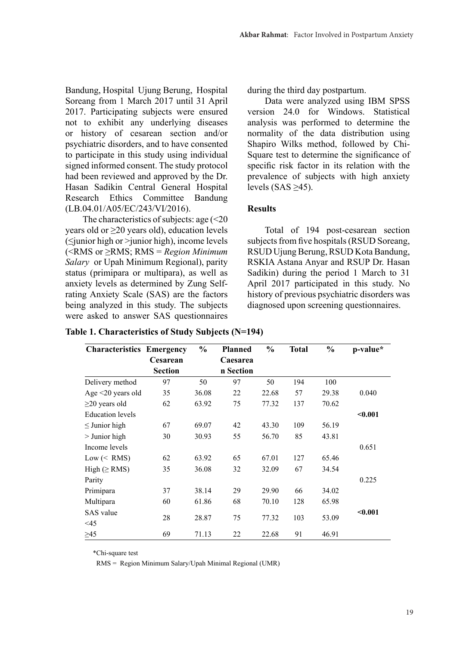Bandung, Hospital Ujung Berung, Hospital Soreang from 1 March 2017 until 31 April 2017. Participating subjects were ensured not to exhibit any underlying diseases or history of cesarean section and/or psychiatric disorders, and to have consented to participate in this study using individual signed informed consent. The study protocol had been reviewed and approved by the Dr. Hasan Sadikin Central General Hospital Research Ethics Committee Bandung (LB.04.01/A05/EC/243/VI/2016).

The characteristics of subjects: age  $\leq 20$ years old or  $\geq$ 20 years old), education levels (≤junior high or >junior high), income levels (<RMS or ≥RMS; RMS = *Region Minimum Salary* or Upah Minimum Regional), parity status (primipara or multipara), as well as anxiety levels as determined by Zung Selfrating Anxiety Scale (SAS) are the factors being analyzed in this study. The subjects were asked to answer SAS questionnaires during the third day postpartum.

Data were analyzed using IBM SPSS version 24.0 for Windows. Statistical analysis was performed to determine the normality of the data distribution using Shapiro Wilks method, followed by Chi-Square test to determine the significance of specific risk factor in its relation with the prevalence of subjects with high anxiety levels (SAS  $\geq$ 45).

# **Results**

Total of 194 post-cesarean section subjects from five hospitals (RSUD Soreang, RSUD Ujung Berung, RSUD Kota Bandung, RSKIA Astana Anyar and RSUP Dr. Hasan Sadikin) during the period 1 March to 31 April 2017 participated in this study. No history of previous psychiatric disorders was diagnosed upon screening questionnaires.

| <b>Characteristics Emergency</b>   |                | $\frac{0}{0}$ | <b>Planned</b> | $\frac{0}{0}$ | <b>Total</b> | $\frac{0}{0}$ | p-value* |
|------------------------------------|----------------|---------------|----------------|---------------|--------------|---------------|----------|
|                                    | Cesarean       |               | Caesarea       |               |              |               |          |
|                                    | <b>Section</b> |               | n Section      |               |              |               |          |
| Delivery method                    | 97             | 50            | 97             | 50            | 194          | 100           |          |
| Age $\leq$ 20 years old            | 35             | 36.08         | 22             | 22.68         | 57           | 29.38         | 0.040    |
| $\geq$ 20 years old                | 62             | 63.92         | 75             | 77.32         | 137          | 70.62         |          |
| <b>Education</b> levels            |                |               |                |               |              |               | $0.001$  |
| $\leq$ Junior high                 | 67             | 69.07         | 42             | 43.30         | 109          | 56.19         |          |
| $>$ Junior high                    | 30             | 30.93         | 55             | 56.70         | 85           | 43.81         |          |
| Income levels                      |                |               |                |               |              |               | 0.651    |
| $Low \left(\leq \text{RMS}\right)$ | 62             | 63.92         | 65             | 67.01         | 127          | 65.46         |          |
| $High ( \geq RMS)$                 | 35             | 36.08         | 32             | 32.09         | 67           | 34.54         |          |
| Parity                             |                |               |                |               |              |               | 0.225    |
| Primipara                          | 37             | 38.14         | 29             | 29.90         | 66           | 34.02         |          |
| Multipara                          | 60             | 61.86         | 68             | 70.10         | 128          | 65.98         |          |
| SAS value                          |                |               |                |               |              |               | $0.001$  |
| $\leq$ 45                          | 28             | 28.87         | 75             | 77.32         | 103          | 53.09         |          |
| $\geq 45$                          | 69             | 71.13         | 22             | 22.68         | 91           | 46.91         |          |

\*Chi-square test

RMS = Region Minimum Salary/Upah Minimal Regional (UMR)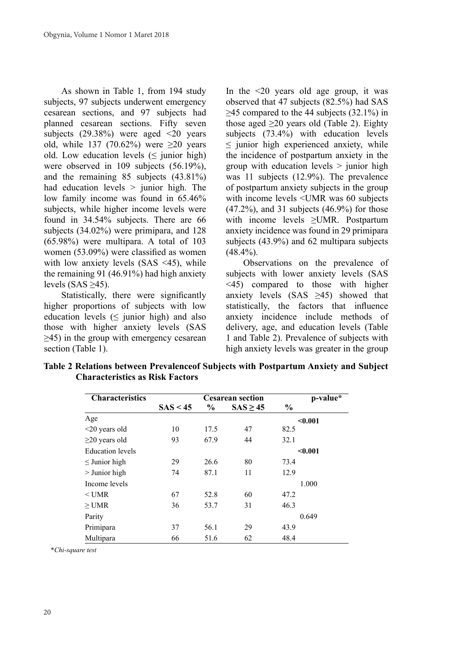As shown in Table 1, from 194 study subjects, 97 subjects underwent emergency cesarean sections, and 97 subjects had planned cesarean sections. Fifty seven subjects  $(29.38\%)$  were aged  $\leq 20$  years old, while 137 (70.62%) were  $\geq 20$  years old. Low education levels  $(\leq$  junior high) were observed in 109 subjects (56.19%), and the remaining 85 subjects (43.81%) had education levels  $>$  junior high. The low family income was found in 65.46% subjects, while higher income levels were found in 34.54% subjects. There are 66 subjects (34.02%) were primipara, and 128 (65.98%) were multipara. A total of 103 women (53.09%) were classified as women with low anxiety levels (SAS <45), while the remaining 91 (46.91%) had high anxiety levels (SAS  $\geq$ 45).

Statistically, there were significantly higher proportions of subjects with low education levels  $(\leq$  junior high) and also those with higher anxiety levels (SAS  $\geq$ 45) in the group with emergency cesarean section (Table 1).

In the  $\leq 20$  years old age group, it was observed that 47 subjects (82.5%) had SAS  $\geq$ 45 compared to the 44 subjects (32.1%) in those aged  $\geq$ 20 years old (Table 2). Eighty subjects (73.4%) with education levels  $\leq$  junior high experienced anxiety, while the incidence of postpartum anxiety in the group with education levels  $>$  junior high was 11 subjects (12.9%). The prevalence of postpartum anxiety subjects in the group with income levels <UMR was 60 subjects  $(47.2\%)$ , and 31 subjects  $(46.9\%)$  for those with income levels ≥UMR. Postpartum anxiety incidence was found in 29 primipara subjects (43.9%) and 62 multipara subjects  $(48.4\%)$ .

Observations on the prevalence of subjects with lower anxiety levels (SAS <45) compared to those with higher anxiety levels (SAS  $\geq$ 45) showed that statistically, the factors that influence anxiety incidence include methods of delivery, age, and education levels (Table 1 and Table 2). Prevalence of subjects with high anxiety levels was greater in the group

| <b>Characteristics</b>  |          |      | $p-value$ <sup>*</sup> |               |         |
|-------------------------|----------|------|------------------------|---------------|---------|
|                         | SAS < 45 | $\%$ | $SAS \geq 45$          | $\frac{0}{0}$ |         |
| Age                     |          |      |                        |               | < 0.001 |
| $\leq$ 20 years old     | 10       | 17.5 | 47                     | 82.5          |         |
| $\geq$ 20 years old     | 93       | 67.9 | 44                     | 32.1          |         |
| <b>Education</b> levels |          |      |                        |               | < 0.001 |
| $\leq$ Junior high      | 29       | 26.6 | 80                     | 73.4          |         |
| $>$ Junior high         | 74       | 87.1 | 11                     | 12.9          |         |
| Income levels           |          |      |                        |               | 1.000   |
| $<$ UMR                 | 67       | 52.8 | 60                     | 47.2          |         |
| $\geq$ UMR              | 36       | 53.7 | 31                     | 46.3          |         |
| Parity                  |          |      |                        |               | 0.649   |
| Primipara               | 37       | 56.1 | 29                     | 43.9          |         |
| Multipara               | 66       | 51.6 | 62                     | 48.4          |         |

**Table 2 Relations between Prevalenceof Subjects with Postpartum Anxiety and Subject Characteristics as Risk Factors**

\**Chi-square test*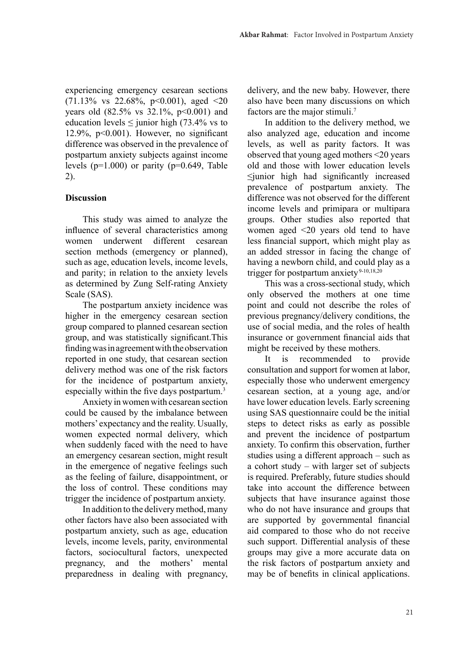experiencing emergency cesarean sections  $(71.13\% \text{ vs } 22.68\%, \text{ p} < 0.001), \text{ aged } < 20)$ years old  $(82.5\% \text{ vs } 32.1\% \text{, } p<0.001)$  and education levels  $\leq$  junior high (73.4% vs to 12.9%,  $p<0.001$ ). However, no significant difference was observed in the prevalence of postpartum anxiety subjects against income levels  $(p=1.000)$  or parity  $(p=0.649,$  Table 2).

## **Discussion**

This study was aimed to analyze the influence of several characteristics among women underwent different cesarean section methods (emergency or planned), such as age, education levels, income levels, and parity; in relation to the anxiety levels as determined by Zung Self-rating Anxiety Scale (SAS).

The postpartum anxiety incidence was higher in the emergency cesarean section group compared to planned cesarean section group, and was statistically significant.This finding was in agreement with the observation reported in one study, that cesarean section delivery method was one of the risk factors for the incidence of postpartum anxiety, especially within the five days postpartum.<sup>3</sup>

Anxiety in women with cesarean section could be caused by the imbalance between mothers' expectancy and the reality. Usually, women expected normal delivery, which when suddenly faced with the need to have an emergency cesarean section, might result in the emergence of negative feelings such as the feeling of failure, disappointment, or the loss of control. These conditions may trigger the incidence of postpartum anxiety.

In addition to the delivery method, many other factors have also been associated with postpartum anxiety, such as age, education levels, income levels, parity, environmental factors, sociocultural factors, unexpected pregnancy, and the mothers' mental preparedness in dealing with pregnancy, delivery, and the new baby. However, there also have been many discussions on which factors are the major stimuli.7

In addition to the delivery method, we also analyzed age, education and income levels, as well as parity factors. It was observed that young aged mothers <20 years old and those with lower education levels ≤junior high had significantly increased prevalence of postpartum anxiety. The difference was not observed for the different income levels and primipara or multipara groups. Other studies also reported that women aged <20 years old tend to have less financial support, which might play as an added stressor in facing the change of having a newborn child, and could play as a trigger for postpartum anxiety $9-10,18,20$ 

This was a cross-sectional study, which only observed the mothers at one time point and could not describe the roles of previous pregnancy/delivery conditions, the use of social media, and the roles of health insurance or government financial aids that might be received by these mothers.

It is recommended to provide consultation and support forwomen at labor, especially those who underwent emergency cesarean section, at a young age, and/or have lower education levels. Early screening using SAS questionnaire could be the initial steps to detect risks as early as possible and prevent the incidence of postpartum anxiety. To confirm this observation, further studies using a different approach – such as a cohort study – with larger set of subjects is required. Preferably, future studies should take into account the difference between subjects that have insurance against those who do not have insurance and groups that are supported by governmental financial aid compared to those who do not receive such support. Differential analysis of these groups may give a more accurate data on the risk factors of postpartum anxiety and may be of benefits in clinical applications.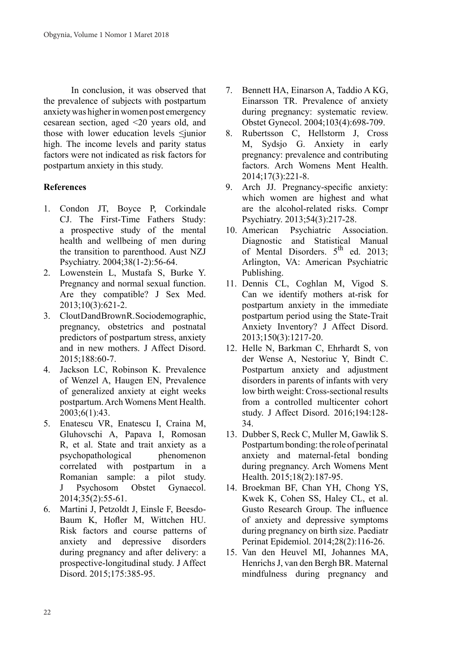In conclusion, it was observed that the prevalence of subjects with postpartum anxiety was higher in women post emergency cesarean section, aged <20 years old, and those with lower education levels ≤junior high. The income levels and parity status factors were not indicated as risk factors for postpartum anxiety in this study.

# **References**

- 1. Condon JT, Boyce P, Corkindale CJ. The First-Time Fathers Study: a prospective study of the mental health and wellbeing of men during the transition to parenthood. Aust NZJ Psychiatry. 2004;38(1-2):56-64.
- 2. Lowenstein L, Mustafa S, Burke Y. Pregnancy and normal sexual function. Are they compatible? J Sex Med. 2013;10(3):621-2.
- 3. Clout Dand Brown R. Sociodemographic, pregnancy, obstetrics and postnatal predictors of postpartum stress, anxiety and in new mothers. J Affect Disord. 2015;188:60-7.
- 4. Jackson LC, Robinson K. Prevalence of Wenzel A, Haugen EN, Prevalence of generalized anxiety at eight weeks postpartum. Arch Womens Ment Health. 2003;6(1):43.
- 5. Enatescu VR, Enatescu I, Craina M, Gluhovschi A, Papava I, Romosan R, et al. State and trait anxiety as a psychopathological phenomenon correlated with postpartum in a Romanian sample: a pilot study. J Psychosom Obstet Gynaecol. 2014;35(2):55-61.
- 6. Martini J, Petzoldt J, Einsle F, Beesdo-Baum K, Hofler M, Wittchen HU. Risk factors and course patterns of anxiety and depressive disorders during pregnancy and after delivery: a prospective-longitudinal study. J Affect Disord. 2015;175:385-95.
- 7. Bennett HA, Einarson A, Taddio A KG, Einarsson TR. Prevalence of anxiety during pregnancy: systematic review. Obstet Gynecol. 2004;103(4):698-709.
- 8. Rubertsson C, Hellstorm J, Cross M, Sydsjo G. Anxiety in early pregnancy: prevalence and contributing factors. Arch Womens Ment Health. 2014;17(3):221-8.
- 9. Arch JJ. Pregnancy-specific anxiety: which women are highest and what are the alcohol-related risks. Compr Psychiatry. 2013;54(3):217-28.
- 10. American Psychiatric Association. Diagnostic and Statistical Manual of Mental Disorders.  $5<sup>th</sup>$  ed. 2013; Arlington, VA: American Psychiatric Publishing.
- 11. Dennis CL, Coghlan M, Vigod S. Can we identify mothers at-risk for postpartum anxiety in the immediate postpartum period using the State-Trait Anxiety Inventory? J Affect Disord. 2013;150(3):1217-20.
- 12. Helle N, Barkman C, Ehrhardt S, von der Wense A, Nestoriuc Y, Bindt C. Postpartum anxiety and adjustment disorders in parents of infants with very low birth weight: Cross-sectional results from a controlled multicenter cohort study. J Affect Disord. 2016;194:128- 34.
- 13. Dubber S, Reck C, Muller M, Gawlik S. Postpartum bonding: the role of perinatal anxiety and maternal-fetal bonding during pregnancy. Arch Womens Ment Health. 2015;18(2):187-95.
- 14. Broekman BF, Chan YH, Chong YS, Kwek K, Cohen SS, Haley CL, et al. Gusto Research Group. The influence of anxiety and depressive symptoms during pregnancy on birth size. Paediatr Perinat Epidemiol. 2014;28(2):116-26.
- 15. Van den Heuvel MI, Johannes MA, Henrichs J, van den Bergh BR. Maternal mindfulness during pregnancy and